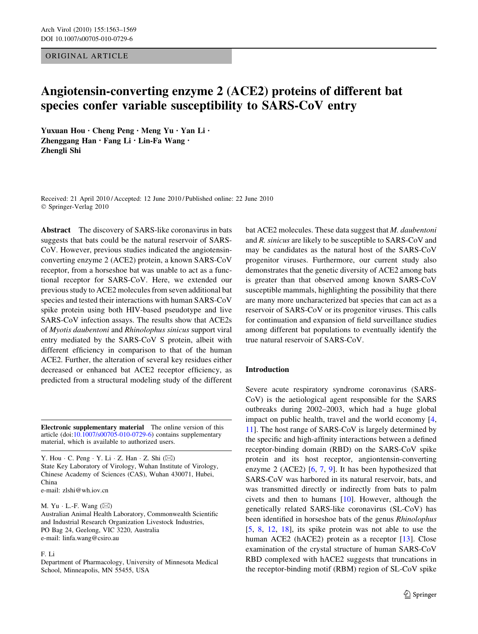ORIGINAL ARTICLE

# Angiotensin-converting enzyme 2 (ACE2) proteins of different bat species confer variable susceptibility to SARS-CoV entry

Yuxuan Hou • Cheng Peng • Meng Yu • Yan Li • Zhenggang Han · Fang Li · Lin-Fa Wang · Zhengli Shi

Received: 21 April 2010 / Accepted: 12 June 2010 / Published online: 22 June 2010 © Springer-Verlag 2010

Abstract The discovery of SARS-like coronavirus in bats suggests that bats could be the natural reservoir of SARS-CoV. However, previous studies indicated the angiotensinconverting enzyme 2 (ACE2) protein, a known SARS-CoV receptor, from a horseshoe bat was unable to act as a functional receptor for SARS-CoV. Here, we extended our previous study to ACE2 molecules from seven additional bat species and tested their interactions with human SARS-CoV spike protein using both HIV-based pseudotype and live SARS-CoV infection assays. The results show that ACE2s of Myotis daubentoni and Rhinolophus sinicus support viral entry mediated by the SARS-CoV S protein, albeit with different efficiency in comparison to that of the human ACE2. Further, the alteration of several key residues either decreased or enhanced bat ACE2 receptor efficiency, as predicted from a structural modeling study of the different

Electronic supplementary material The online version of this article (doi:[10.1007/s00705-010-0729-6\)](http://dx.doi.org/10.1007/s00705-010-0729-6) contains supplementary material, which is available to authorized users.

Y. Hou  $\cdot$  C. Peng  $\cdot$  Y. Li  $\cdot$  Z. Han  $\cdot$  Z. Shi ( $\boxtimes$ ) State Key Laboratory of Virology, Wuhan Institute of Virology, Chinese Academy of Sciences (CAS), Wuhan 430071, Hubei, China e-mail: zlshi@wh.iov.cn

M. Yu · L.-F. Wang  $(\boxtimes)$ 

Australian Animal Health Laboratory, Commonwealth Scientific and Industrial Research Organization Livestock Industries, PO Bag 24, Geelong, VIC 3220, Australia e-mail: linfa.wang@csiro.au

#### F. Li

Department of Pharmacology, University of Minnesota Medical School, Minneapolis, MN 55455, USA

bat ACE2 molecules. These data suggest that M. daubentoni and R. sinicus are likely to be susceptible to SARS-CoV and may be candidates as the natural host of the SARS-CoV progenitor viruses. Furthermore, our current study also demonstrates that the genetic diversity of ACE2 among bats is greater than that observed among known SARS-CoV susceptible mammals, highlighting the possibility that there are many more uncharacterized bat species that can act as a reservoir of SARS-CoV or its progenitor viruses. This calls for continuation and expansion of field surveillance studies among different bat populations to eventually identify the true natural reservoir of SARS-CoV.

#### Introduction

Severe acute respiratory syndrome coronavirus (SARS-CoV) is the aetiological agent responsible for the SARS outbreaks during 2002–2003, which had a huge global impact on public health, travel and the world economy [[4,](#page-6-0) [11](#page-6-0)]. The host range of SARS-CoV is largely determined by the specific and high-affinity interactions between a defined receptor-binding domain (RBD) on the SARS-CoV spike protein and its host receptor, angiontensin-converting enzyme 2 (ACE2) [[6,](#page-6-0) [7,](#page-6-0) [9\]](#page-6-0). It has been hypothesized that SARS-CoV was harbored in its natural reservoir, bats, and was transmitted directly or indirectly from bats to palm civets and then to humans [[10\]](#page-6-0). However, although the genetically related SARS-like coronavirus (SL-CoV) has been identified in horseshoe bats of the genus Rhinolophus [\[5](#page-6-0), [8](#page-6-0), [12](#page-6-0), [18](#page-6-0)], its spike protein was not able to use the human ACE2 (hACE2) protein as a receptor [[13](#page-6-0)]. Close examination of the crystal structure of human SARS-CoV RBD complexed with hACE2 suggests that truncations in the receptor-binding motif (RBM) region of SL-CoV spike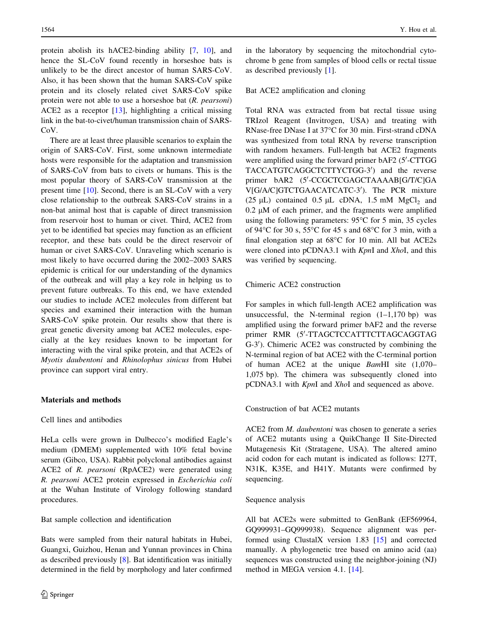<span id="page-1-0"></span>protein abolish its hACE2-binding ability [[7,](#page-6-0) [10](#page-6-0)], and hence the SL-CoV found recently in horseshoe bats is unlikely to be the direct ancestor of human SARS-CoV. Also, it has been shown that the human SARS-CoV spike protein and its closely related civet SARS-CoV spike protein were not able to use a horseshoe bat (R. pearsoni) ACE2 as a receptor [[13\]](#page-6-0), highlighting a critical missing link in the bat-to-civet/human transmission chain of SARS-Co<sub>V</sub>.

There are at least three plausible scenarios to explain the origin of SARS-CoV. First, some unknown intermediate hosts were responsible for the adaptation and transmission of SARS-CoV from bats to civets or humans. This is the most popular theory of SARS-CoV transmission at the present time [\[10](#page-6-0)]. Second, there is an SL-CoV with a very close relationship to the outbreak SARS-CoV strains in a non-bat animal host that is capable of direct transmission from reservoir host to human or civet. Third, ACE2 from yet to be identified bat species may function as an efficient receptor, and these bats could be the direct reservoir of human or civet SARS-CoV. Unraveling which scenario is most likely to have occurred during the 2002–2003 SARS epidemic is critical for our understanding of the dynamics of the outbreak and will play a key role in helping us to prevent future outbreaks. To this end, we have extended our studies to include ACE2 molecules from different bat species and examined their interaction with the human SARS-CoV spike protein. Our results show that there is great genetic diversity among bat ACE2 molecules, especially at the key residues known to be important for interacting with the viral spike protein, and that ACE2s of Myotis daubentoni and Rhinolophus sinicus from Hubei province can support viral entry.

# Materials and methods

#### Cell lines and antibodies

HeLa cells were grown in Dulbecco's modified Eagle's medium (DMEM) supplemented with 10% fetal bovine serum (Gibco, USA). Rabbit polyclonal antibodies against ACE2 of R. pearsoni (RpACE2) were generated using R. pearsoni ACE2 protein expressed in Escherichia coli at the Wuhan Institute of Virology following standard procedures.

Bat sample collection and identification

Bats were sampled from their natural habitats in Hubei, Guangxi, Guizhou, Henan and Yunnan provinces in China as described previously [\[8](#page-6-0)]. Bat identification was initially determined in the field by morphology and later confirmed in the laboratory by sequencing the mitochondrial cytochrome b gene from samples of blood cells or rectal tissue as described previously [\[1](#page-6-0)].

# Bat ACE2 amplification and cloning

Total RNA was extracted from bat rectal tissue using TRIzol Reagent (Invitrogen, USA) and treating with RNase-free DNase I at 37°C for 30 min. First-strand cDNA was synthesized from total RNA by reverse transcription with random hexamers. Full-length bat ACE2 fragments were amplified using the forward primer bAF2 (5'-CTTGG TACCATGTCAGGCTCTTYCTGG-3') and the reverse primer bAR2 (5'-CCGCTCGAGCTAAAAB[G/T/C]GA V[G/A/C]GTCTGAACATCATC-3'). The PCR mixture (25  $\mu$ L) contained 0.5  $\mu$ L cDNA, 1.5 mM MgCl<sub>2</sub> and  $0.2 \mu M$  of each primer, and the fragments were amplified using the following parameters:  $95^{\circ}$ C for 5 min, 35 cycles of 94 $\degree$ C for 30 s, 55 $\degree$ C for 45 s and 68 $\degree$ C for 3 min, with a final elongation step at  $68^{\circ}$ C for 10 min. All bat ACE2s were cloned into pCDNA3.1 with KpnI and XhoI, and this was verified by sequencing.

## Chimeric ACE2 construction

For samples in which full-length ACE2 amplification was unsuccessful, the N-terminal region  $(1-1,170$  bp) was amplified using the forward primer bAF2 and the reverse primer RMR (5'-TTAGCTCCATTTCTTAGCAGGTAG G-3'). Chimeric ACE2 was constructed by combining the N-terminal region of bat ACE2 with the C-terminal portion of human ACE2 at the unique BamHI site (1,070– 1,075 bp). The chimera was subsequently cloned into pCDNA3.1 with KpnI and XhoI and sequenced as above.

# Construction of bat ACE2 mutants

ACE2 from *M. daubentoni* was chosen to generate a series of ACE2 mutants using a QuikChange II Site-Directed Mutagenesis Kit (Stratagene, USA). The altered amino acid codon for each mutant is indicated as follows: I27T, N31K, K35E, and H41Y. Mutants were confirmed by sequencing.

#### Sequence analysis

All bat ACE2s were submitted to GenBank (EF569964, GQ999931–GQ999938). Sequence alignment was performed using ClustalX version 1.83 [[15\]](#page-6-0) and corrected manually. A phylogenetic tree based on amino acid (aa) sequences was constructed using the neighbor-joining (NJ) method in MEGA version 4.1. [[14\]](#page-6-0).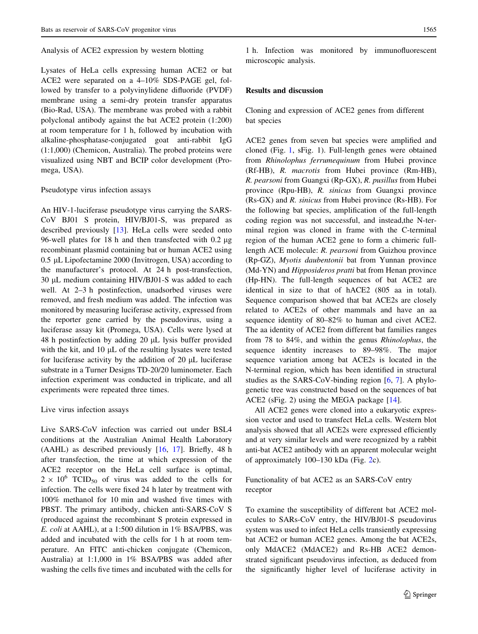#### Analysis of ACE2 expression by western blotting

Lysates of HeLa cells expressing human ACE2 or bat ACE2 were separated on a 4–10% SDS-PAGE gel, followed by transfer to a polyvinylidene difluoride (PVDF) membrane using a semi-dry protein transfer apparatus (Bio-Rad, USA). The membrane was probed with a rabbit polyclonal antibody against the bat ACE2 protein (1:200) at room temperature for 1 h, followed by incubation with alkaline-phosphatase-conjugated goat anti-rabbit IgG (1:1,000) (Chemicon, Australia). The probed proteins were visualized using NBT and BCIP color development (Promega, USA).

#### Pseudotype virus infection assays

An HIV-1-luciferase pseudotype virus carrying the SARS-CoV BJ01 S protein, HIV/BJ01-S, was prepared as described previously [\[13](#page-6-0)]. HeLa cells were seeded onto 96-well plates for 18 h and then transfected with  $0.2 \mu$ g recombinant plasmid containing bat or human ACE2 using 0.5 μL Lipofectamine 2000 (Invitrogen, USA) according to the manufacturer's protocol. At 24 h post-transfection, 30 µL medium containing HIV/BJ01-S was added to each well. At 2–3 h postinfection, unadsorbed viruses were removed, and fresh medium was added. The infection was monitored by measuring luciferase activity, expressed from the reporter gene carried by the pseudovirus, using a luciferase assay kit (Promega, USA). Cells were lysed at 48 h postinfection by adding  $20 \mu L$  lysis buffer provided with the kit, and  $10 \mu L$  of the resulting lysates were tested for luciferase activity by the addition of  $20 \mu L$  luciferase substrate in a Turner Designs TD-20/20 luminometer. Each infection experiment was conducted in triplicate, and all experiments were repeated three times.

# Live virus infection assays

Live SARS-CoV infection was carried out under BSL4 conditions at the Australian Animal Health Laboratory (AAHL) as described previously [\[16](#page-6-0), [17\]](#page-6-0). Briefly, 48 h after transfection, the time at which expression of the ACE2 receptor on the HeLa cell surface is optimal,  $2 \times 10^6$  TCID<sub>50</sub> of virus was added to the cells for infection. The cells were fixed 24 h later by treatment with 100% methanol for 10 min and washed five times with PBST. The primary antibody, chicken anti-SARS-CoV S (produced against the recombinant S protein expressed in E. coli at AAHL), at a 1:500 dilution in 1% BSA/PBS, was added and incubated with the cells for 1 h at room temperature. An FITC anti-chicken conjugate (Chemicon, Australia) at 1:1,000 in 1% BSA/PBS was added after washing the cells five times and incubated with the cells for

1 h. Infection was monitored by immunofluorescent microscopic analysis.

# Results and discussion

Cloning and expression of ACE2 genes from different bat species

ACE2 genes from seven bat species were amplified and cloned (Fig. [1,](#page-3-0) sFig. 1). Full-length genes were obtained from Rhinolophus ferrumequinum from Hubei province (Rf-HB), R. macrotis from Hubei province (Rm-HB), R. pearsoni from Guangxi (Rp-GX), R. pusillus from Hubei province (Rpu-HB), R. sinicus from Guangxi province (Rs-GX) and R. sinicus from Hubei province (Rs-HB). For the following bat species, amplification of the full-length coding region was not successful, and instead,the N-terminal region was cloned in frame with the C-terminal region of the human ACE2 gene to form a chimeric fulllength ACE molecule: R. pearsoni from Guizhou province (Rp-GZ), Myotis daubentonii bat from Yunnan province (Md-YN) and Hipposideros pratti bat from Henan province (Hp-HN). The full-length sequences of bat ACE2 are identical in size to that of hACE2 (805 aa in total). Sequence comparison showed that bat ACE2s are closely related to ACE2s of other mammals and have an aa sequence identity of 80–82% to human and civet ACE2. The aa identity of ACE2 from different bat families ranges from 78 to 84%, and within the genus Rhinolophus, the sequence identity increases to 89–98%. The major sequence variation among bat ACE2s is located in the N-terminal region, which has been identified in structural studies as the SARS-CoV-binding region [\[6](#page-6-0), [7](#page-6-0)]. A phylogenetic tree was constructed based on the sequences of bat ACE2 (sFig. 2) using the MEGA package [\[14](#page-6-0)].

All ACE2 genes were cloned into a eukaryotic expression vector and used to transfect HeLa cells. Western blot analysis showed that all ACE2s were expressed efficiently and at very similar levels and were recognized by a rabbit anti-bat ACE2 antibody with an apparent molecular weight of approximately 100–130 kDa (Fig. [2c](#page-4-0)).

Functionality of bat ACE2 as an SARS-CoV entry receptor

To examine the susceptibility of different bat ACE2 molecules to SARs-CoV entry, the HIV/BJ01-S pseudovirus system was used to infect HeLa cells transiently expressing bat ACE2 or human ACE2 genes. Among the bat ACE2s, only MdACE2 (MdACE2) and Rs-HB ACE2 demonstrated significant pseudovirus infection, as deduced from the significantly higher level of luciferase activity in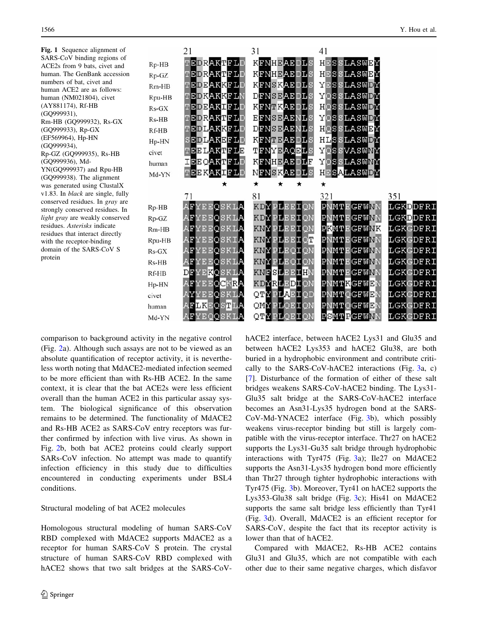<span id="page-3-0"></span>Fig. 1 Sequence alignment of SARS-CoV binding regions of ACE2s from 9 bats, civet and human. The GenBank accession numbers of bat, civet and human ACE2 are as follows: human (NM021804), civet (AY881174), Rf-HB (GQ999931), Rm-HB (GQ999932), Rs-GX (GQ999933), Rp-GX (EF569964), Hp-HN (GQ999934), Rp-GZ (GQ999935), Rs-HB (GQ999936), Md-YN(GQ999937) and Rpu-HB (GQ999938). The alignment was generated using ClustalX v1.83. In black are single, fully conserved residues. In gray are strongly conserved residues. In light gray are weakly conserved residues. Asterisks indicate residues that interact directly with the receptor-binding domain of the SARS-CoV S protein

|         | 21         | 31                | 41                 |          |
|---------|------------|-------------------|--------------------|----------|
| Rp-HB   | TEDRAKTFLD | KFNHEAEDLS        | HESSLASWEY         |          |
| Rp-GZ   | TEDRAKTFLD | KFNHEAEDLS        | HESSLASWEY         |          |
| $Rm-HB$ | TEDEAKKFLD | KFNSKAEDLS        | YESSLASWDY         |          |
| Rpu-HB  | TEDKAKKFLN | <b>DFNSEAEDLS</b> | YQSSLASWDY         |          |
| $Rs-GX$ | TEDEAKIFLD | KFNTKAEDLS        | HQSSLASWDY         |          |
| Rs-HB   | TEDRAKTFLD | <b>EFNSEAENLS</b> | YOSSLASWDY         |          |
| Rf-HB   | TEDLAKKFLD | <b>DENSEAENLS</b> | HOSSLASWEY         |          |
| Hp-HN   | SEDLAKEFLD | KFNTEAEDLS        | HLSSLASWDY         |          |
| civet   | TEELAKTFLE | TFNYEAQELS        | YQSSVASWNY         |          |
| human   | IEEQAKTFLD | KFNHEAEDLF        | YOSSLASWNY         |          |
| Md-YN   | TEEKAKIFLD | NFNSKAEDLS        | HESALASWDY         |          |
|         | ★          | ★<br>$\star$<br>★ | ★                  |          |
|         |            |                   |                    |          |
|         | 71         | 81                | 321                | 351      |
| Rp-HB   | AFYEEQSKLA | <b>KDYPLEEIQN</b> | <b>PNMTEGFWNN</b>  | LGKDDFRI |
| Rp-GZ   | AFYEEQSKLA | KDYPLEEION        | <b>PNMTEGFMNN</b>  | LGKDDFRI |
| $Rm-HB$ | AFYEEQSKLA | KNYPIEEIQN        | <b>PKMTEGFMNK</b>  | LGKGDFRI |
| Rpu-HB  | AFYEEQSKIA | KNYPLEEIQT        | <b>PNMTEGFMNN</b>  | LGKGDFRI |
| $Rs-GX$ | AFYEEQSKLA | KNYPLEQIQN        | <b>PNMTE GEWNN</b> | LGKGDFRI |
| Rs-HB   | AFYEEQSKLA | KNYPLEQION        | <b>PNMTEGFMNN</b>  | LGKGDFRI |
| Rf-HB   | DFYEKOSKLA | KNFSLEEIHN        | <b>PNMTEGFWNN</b>  | LGKGDFRI |
| Hp-HN   | AFYEEQCKRA | KDYRLEDION        | PNMTKGFWEN         | LGKEDFRI |
| civet   | AYYEEQSKLA | QTYPLAEIQD        | <b>PNMT OGFWEN</b> | LGKEDFRI |
| human   | AFLKEQSTLA | QMYPLQEIQN        | <b>PNMTQGFWEN</b>  | LGKGDFRI |

comparison to background activity in the negative control (Fig. [2](#page-4-0)a). Although such assays are not to be viewed as an absolute quantification of receptor activity, it is nevertheless worth noting that MdACE2-mediated infection seemed to be more efficient than with Rs-HB ACE2. In the same context, it is clear that the bat ACE2s were less efficient overall than the human ACE2 in this particular assay system. The biological significance of this observation remains to be determined. The functionality of MdACE2 and Rs-HB ACE2 as SARS-CoV entry receptors was further confirmed by infection with live virus. As shown in Fig. [2](#page-4-0)b, both bat ACE2 proteins could clearly support SARs-CoV infection. No attempt was made to quantify infection efficiency in this study due to difficulties encountered in conducting experiments under BSL4 conditions.

#### Structural modeling of bat ACE2 molecules

Homologous structural modeling of human SARS-CoV RBD complexed with MdACE2 supports MdACE2 as a receptor for human SARS-CoV S protein. The crystal structure of human SARS-CoV RBD complexed with hACE2 shows that two salt bridges at the SARS-CoV- hACE2 interface, between hACE2 Lys31 and Glu35 and between hACE2 Lys353 and hACE2 Glu38, are both buried in a hydrophobic environment and contribute critically to the SARS-CoV-hACE2 interactions (Fig. [3a](#page-5-0), c) [\[7](#page-6-0)]. Disturbance of the formation of either of these salt bridges weakens SARS-CoV-hACE2 binding. The Lys31- Glu35 salt bridge at the SARS-CoV-hACE2 interface becomes an Asn31-Lys35 hydrogen bond at the SARS-CoV-Md-YNACE2 interface (Fig. [3b](#page-5-0)), which possibly weakens virus-receptor binding but still is largely compatible with the virus-receptor interface. Thr27 on hACE2 supports the Lys31-Gu35 salt bridge through hydrophobic interactions with Tyr475 (Fig. [3a](#page-5-0)); Ile27 on MdACE2 supports the Asn31-Lys35 hydrogen bond more efficiently than Thr27 through tighter hydrophobic interactions with Tyr475 (Fig. [3b](#page-5-0)). Moreover, Tyr41 on hACE2 supports the Lys353-Glu38 salt bridge (Fig. [3](#page-5-0)c); His41 on MdACE2 supports the same salt bridge less efficiently than Tyr41 (Fig. [3d](#page-5-0)). Overall, MdACE2 is an efficient receptor for SARS-CoV, despite the fact that its receptor activity is lower than that of hACE2.

Compared with MdACE2, Rs-HB ACE2 contains Glu31 and Glu35, which are not compatible with each other due to their same negative charges, which disfavor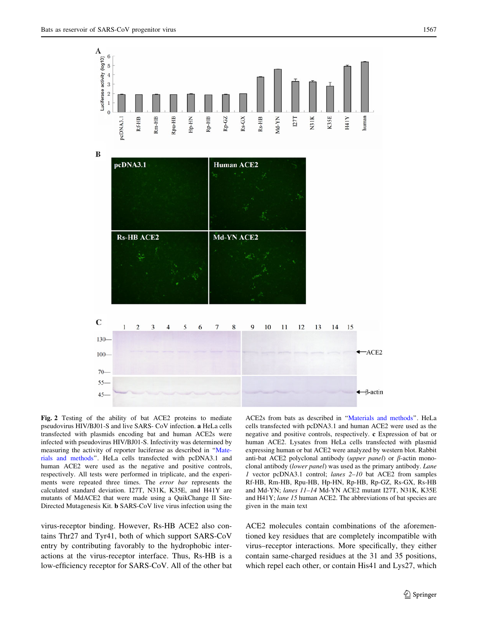<span id="page-4-0"></span>A  $6\phantom{1}6$ 

Luciferase activity (log10)<br> $\therefore$   $\therefore$   $\therefore$   $\therefore$   $\Rightarrow$   $\therefore$   $\Rightarrow$   $\Rightarrow$   $\Rightarrow$ 

 $\mathbf{0}$ 

Rpu-HB

 $Hp-HN$ 

Rp-HB

Rp-GZ

 $Rs-GX$ 

Rs-HB

Rm-HB

Rf-HB





Fig. 2 Testing of the ability of bat ACE2 proteins to mediate pseudovirus HIV/BJ01-S and live SARS- CoV infection. a HeLa cells transfected with plasmids encoding bat and human ACE2s were infected with pseudovirus HIV/BJ01-S. Infectivity was determined by measuring the activity of reporter luciferase as described in ''[Mate](#page-1-0)[rials and methods'](#page-1-0)'. HeLa cells transfected with pcDNA3.1 and human ACE2 were used as the negative and positive controls, respectively. All tests were performed in triplicate, and the experiments were repeated three times. The error bar represents the calculated standard deviation. I27T, N31K, K35E, and H41Y are mutants of MdACE2 that were made using a QuikChange II Site-Directed Mutagenesis Kit. b SARS-CoV live virus infection using the

virus-receptor binding. However, Rs-HB ACE2 also contains Thr27 and Tyr41, both of which support SARS-CoV entry by contributing favorably to the hydrophobic interactions at the virus-receptor interface. Thus, Rs-HB is a low-efficiency receptor for SARS-CoV. All of the other bat ACE2s from bats as described in '['Materials and methods'](#page-1-0)'. HeLa cells transfected with pcDNA3.1 and human ACE2 were used as the negative and positive controls, respectively. c Expression of bat or human ACE2. Lysates from HeLa cells transfected with plasmid expressing human or bat ACE2 were analyzed by western blot. Rabbit anti-bat ACE2 polyclonal antibody (upper panel) or  $\beta$ -actin monoclonal antibody (lower panel) was used as the primary antibody. Lane 1 vector pcDNA3.1 control; lanes 2–10 bat ACE2 from samples Rf-HB, Rm-HB, Rpu-HB, Hp-HN, Rp-HB, Rp-GZ, Rs-GX, Rs-HB and Md-YN; lanes 11–14 Md-YN ACE2 mutant I27T, N31K, K35E and H41Y; lane 15 human ACE2. The abbreviations of bat species are given in the main text

ACE2 molecules contain combinations of the aforementioned key residues that are completely incompatible with virus–receptor interactions. More specifically, they either contain same-charged residues at the 31 and 35 positions, which repel each other, or contain His41 and Lys27, which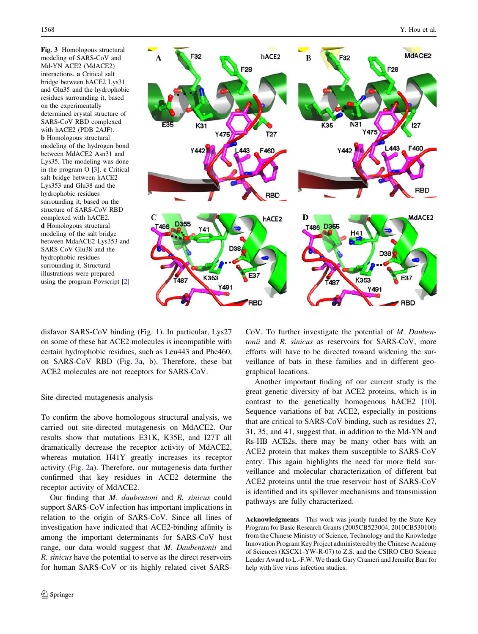<span id="page-5-0"></span>Fig. 3 Homologous structural modeling of SARS-CoV and Md-YN ACE2 (MdACE2) interactions. a Critical salt bridge between hACE2 Lys31 and Glu35 and the hydrophobic residues surrounding it, based on the experimentally determined crystal structure of SARS-CoV RBD complexed with hACE2 (PDB 2AJF). b Homologous structural modeling of the hydrogen bond between MdACE2 Asn31 and Lys35. The modeling was done in the program O [[3](#page-6-0)]. c Critical salt bridge between hACE2 Lys353 and Glu38 and the hydrophobic residues surrounding it, based on the structure of SARS-CoV RBD complexed with hACE2. d Homologous structural modeling of the salt bridge between MdaACE2 Lys353 and SARS-CoV Glu38 and the hydrophobic residues surrounding it. Structural illustrations were prepared using the program Povscript [[2\]](#page-6-0)



disfavor SARS-CoV binding (Fig. [1\)](#page-3-0). In particular, Lys27 on some of these bat ACE2 molecules is incompatible with certain hydrophobic residues, such as Leu443 and Phe460, on SARS-CoV RBD (Fig. 3a, b). Therefore, these bat ACE2 molecules are not receptors for SARS-CoV.

# Site-directed mutagenesis analysis

To confirm the above homologous structural analysis, we carried out site-directed mutagenesis on MdACE2. Our results show that mutations E31K, K35E, and I27T all dramatically decrease the receptor activity of MdACE2, whereas mutation H41Y greatly increases its receptor activity (Fig. [2](#page-4-0)a). Therefore, our mutagenesis data further confirmed that key residues in ACE2 determine the receptor activity of MdACE2.

Our finding that M. daubentoni and R. sinicus could support SARS-CoV infection has important implications in relation to the origin of SARS-CoV. Since all lines of investigation have indicated that ACE2-binding affinity is among the important determinants for SARS-CoV host range, our data would suggest that M. Daubentonii and R. sinicus have the potential to serve as the direct reservoirs for human SARS-CoV or its highly related civet SARS-

CoV. To further investigate the potential of M. Daubentonii and R. sinicus as reservoirs for SARS-CoV, more efforts will have to be directed toward widening the surveillance of bats in these families and in different geographical locations.

Another important finding of our current study is the great genetic diversity of bat ACE2 proteins, which is in contrast to the genetically homogenous hACE2 [\[10](#page-6-0)]. Sequence variations of bat ACE2, especially in positions that are critical to SARS-CoV binding, such as residues 27, 31, 35, and 41, suggest that, in addition to the Md-YN and Rs-HB ACE2s, there may be many other bats with an ACE2 protein that makes them susceptible to SARS-CoV entry. This again highlights the need for more field surveillance and molecular characterization of different bat ACE2 proteins until the true reservoir host of SARS-CoV is identified and its spillover mechanisms and transmission pathways are fully characterized.

Acknowledgments This work was jointly funded by the State Key Program for Basic Research Grants (2005CB523004, 2010CB530100) from the Chinese Ministry of Science, Technology and the Knowledge Innovation Program Key Project administered by the Chinese Academy of Sciences (KSCX1-YW-R-07) to Z.S. and the CSIRO CEO Science Leader Award to L.-F.W. We thank Gary Crameri and Jennifer Barr for help with live virus infection studies.